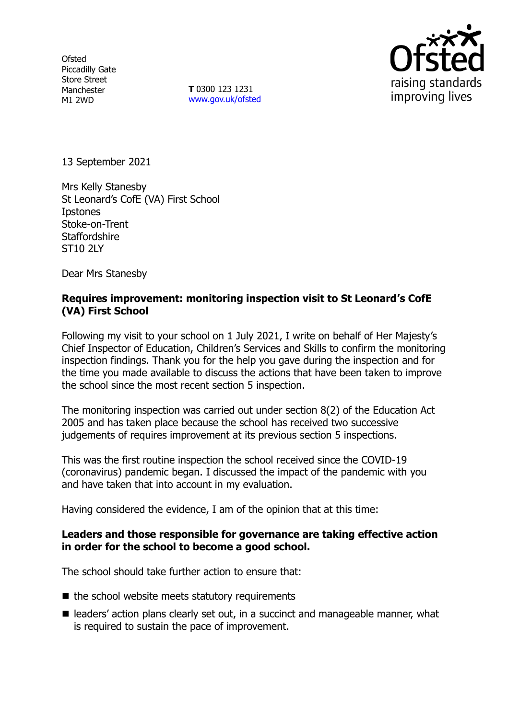**Ofsted** Piccadilly Gate Store Street Manchester M1 2WD

**T** 0300 123 1231 [www.gov.uk/ofsted](http://www.gov.uk/ofsted)



13 September 2021

Mrs Kelly Stanesby St Leonard's CofE (VA) First School **I**pstones Stoke-on-Trent **Staffordshire** ST10 2LY

Dear Mrs Stanesby

## **Requires improvement: monitoring inspection visit to St Leonard's CofE (VA) First School**

Following my visit to your school on 1 July 2021, I write on behalf of Her Majesty's Chief Inspector of Education, Children's Services and Skills to confirm the monitoring inspection findings. Thank you for the help you gave during the inspection and for the time you made available to discuss the actions that have been taken to improve the school since the most recent section 5 inspection.

The monitoring inspection was carried out under section 8(2) of the Education Act 2005 and has taken place because the school has received two successive judgements of requires improvement at its previous section 5 inspections.

This was the first routine inspection the school received since the COVID-19 (coronavirus) pandemic began. I discussed the impact of the pandemic with you and have taken that into account in my evaluation.

Having considered the evidence, I am of the opinion that at this time:

### **Leaders and those responsible for governance are taking effective action in order for the school to become a good school.**

The school should take further action to ensure that:

- $\blacksquare$  the school website meets statutory requirements
- leaders' action plans clearly set out, in a succinct and manageable manner, what is required to sustain the pace of improvement.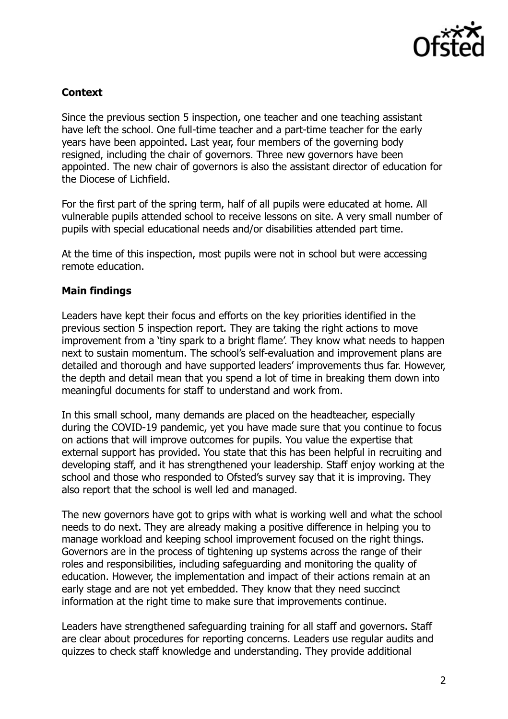

# **Context**

Since the previous section 5 inspection, one teacher and one teaching assistant have left the school. One full-time teacher and a part-time teacher for the early years have been appointed. Last year, four members of the governing body resigned, including the chair of governors. Three new governors have been appointed. The new chair of governors is also the assistant director of education for the Diocese of Lichfield.

For the first part of the spring term, half of all pupils were educated at home. All vulnerable pupils attended school to receive lessons on site. A very small number of pupils with special educational needs and/or disabilities attended part time.

At the time of this inspection, most pupils were not in school but were accessing remote education.

### **Main findings**

Leaders have kept their focus and efforts on the key priorities identified in the previous section 5 inspection report. They are taking the right actions to move improvement from a 'tiny spark to a bright flame'. They know what needs to happen next to sustain momentum. The school's self-evaluation and improvement plans are detailed and thorough and have supported leaders' improvements thus far. However, the depth and detail mean that you spend a lot of time in breaking them down into meaningful documents for staff to understand and work from.

In this small school, many demands are placed on the headteacher, especially during the COVID-19 pandemic, yet you have made sure that you continue to focus on actions that will improve outcomes for pupils. You value the expertise that external support has provided. You state that this has been helpful in recruiting and developing staff, and it has strengthened your leadership. Staff enjoy working at the school and those who responded to Ofsted's survey say that it is improving. They also report that the school is well led and managed.

The new governors have got to grips with what is working well and what the school needs to do next. They are already making a positive difference in helping you to manage workload and keeping school improvement focused on the right things. Governors are in the process of tightening up systems across the range of their roles and responsibilities, including safeguarding and monitoring the quality of education. However, the implementation and impact of their actions remain at an early stage and are not yet embedded. They know that they need succinct information at the right time to make sure that improvements continue.

Leaders have strengthened safeguarding training for all staff and governors. Staff are clear about procedures for reporting concerns. Leaders use regular audits and quizzes to check staff knowledge and understanding. They provide additional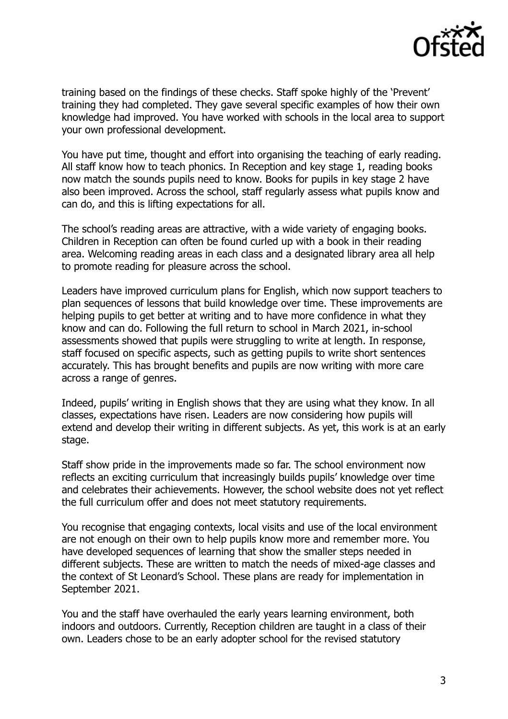

training based on the findings of these checks. Staff spoke highly of the 'Prevent' training they had completed. They gave several specific examples of how their own knowledge had improved. You have worked with schools in the local area to support your own professional development.

You have put time, thought and effort into organising the teaching of early reading. All staff know how to teach phonics. In Reception and key stage 1, reading books now match the sounds pupils need to know. Books for pupils in key stage 2 have also been improved. Across the school, staff regularly assess what pupils know and can do, and this is lifting expectations for all.

The school's reading areas are attractive, with a wide variety of engaging books. Children in Reception can often be found curled up with a book in their reading area. Welcoming reading areas in each class and a designated library area all help to promote reading for pleasure across the school.

Leaders have improved curriculum plans for English, which now support teachers to plan sequences of lessons that build knowledge over time. These improvements are helping pupils to get better at writing and to have more confidence in what they know and can do. Following the full return to school in March 2021, in-school assessments showed that pupils were struggling to write at length. In response, staff focused on specific aspects, such as getting pupils to write short sentences accurately. This has brought benefits and pupils are now writing with more care across a range of genres.

Indeed, pupils' writing in English shows that they are using what they know. In all classes, expectations have risen. Leaders are now considering how pupils will extend and develop their writing in different subjects. As yet, this work is at an early stage.

Staff show pride in the improvements made so far. The school environment now reflects an exciting curriculum that increasingly builds pupils' knowledge over time and celebrates their achievements. However, the school website does not yet reflect the full curriculum offer and does not meet statutory requirements.

You recognise that engaging contexts, local visits and use of the local environment are not enough on their own to help pupils know more and remember more. You have developed sequences of learning that show the smaller steps needed in different subjects. These are written to match the needs of mixed-age classes and the context of St Leonard's School. These plans are ready for implementation in September 2021.

You and the staff have overhauled the early years learning environment, both indoors and outdoors. Currently, Reception children are taught in a class of their own. Leaders chose to be an early adopter school for the revised statutory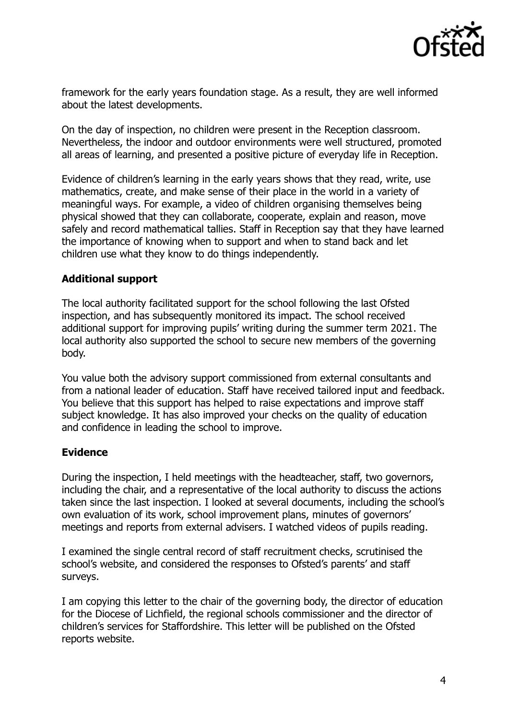

framework for the early years foundation stage. As a result, they are well informed about the latest developments.

On the day of inspection, no children were present in the Reception classroom. Nevertheless, the indoor and outdoor environments were well structured, promoted all areas of learning, and presented a positive picture of everyday life in Reception.

Evidence of children's learning in the early years shows that they read, write, use mathematics, create, and make sense of their place in the world in a variety of meaningful ways. For example, a video of children organising themselves being physical showed that they can collaborate, cooperate, explain and reason, move safely and record mathematical tallies. Staff in Reception say that they have learned the importance of knowing when to support and when to stand back and let children use what they know to do things independently.

#### **Additional support**

The local authority facilitated support for the school following the last Ofsted inspection, and has subsequently monitored its impact. The school received additional support for improving pupils' writing during the summer term 2021. The local authority also supported the school to secure new members of the governing body.

You value both the advisory support commissioned from external consultants and from a national leader of education. Staff have received tailored input and feedback. You believe that this support has helped to raise expectations and improve staff subject knowledge. It has also improved your checks on the quality of education and confidence in leading the school to improve.

#### **Evidence**

During the inspection, I held meetings with the headteacher, staff, two governors, including the chair, and a representative of the local authority to discuss the actions taken since the last inspection. I looked at several documents, including the school's own evaluation of its work, school improvement plans, minutes of governors' meetings and reports from external advisers. I watched videos of pupils reading.

I examined the single central record of staff recruitment checks, scrutinised the school's website, and considered the responses to Ofsted's parents' and staff surveys.

I am copying this letter to the chair of the governing body, the director of education for the Diocese of Lichfield, the regional schools commissioner and the director of children's services for Staffordshire. This letter will be published on the Ofsted reports website.